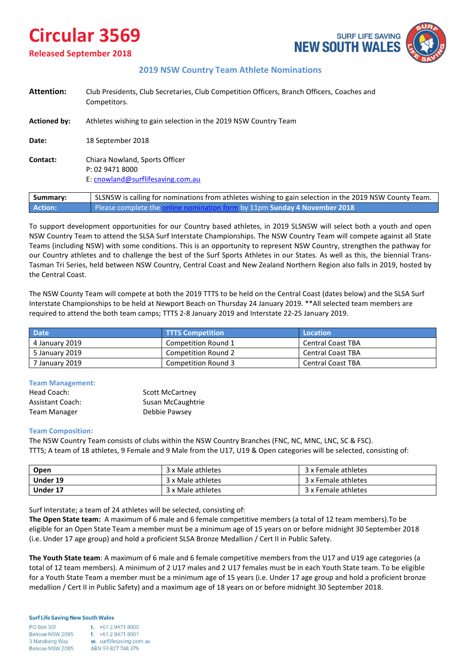# **Circular 3569**

**Released September 2018**



## **2019 NSW Country Team Athlete Nominations**

| <b>Attention:</b>   | Club Presidents, Club Secretaries, Club Competition Officers, Branch Officers, Coaches and<br>Competitors. |  |
|---------------------|------------------------------------------------------------------------------------------------------------|--|
| <b>Actioned by:</b> | Athletes wishing to gain selection in the 2019 NSW Country Team                                            |  |
| Date:               | 18 September 2018                                                                                          |  |
| Contact:            | Chiara Nowland, Sports Officer<br>P: 02 9471 8000<br>E: cnowland@surflifesaving.com.au                     |  |
| Summary:            | SLSNSW is calling for nominations from athletes wishing to gain selection in the 2019 NSW County Team.     |  |

**Action:** Please complete the [online nomination form](https://form.jotform.co/82528456381867) by 11pm **Sunday 4 November 2018**

To support development opportunities for our Country based athletes, in 2019 SLSNSW will select both a youth and open NSW Country Team to attend the SLSA Surf Interstate Championships. The NSW Country Team will compete against all State Teams (including NSW) with some conditions. This is an opportunity to represent NSW Country, strengthen the pathway for our Country athletes and to challenge the best of the Surf Sports Athletes in our States. As well as this, the biennial Trans-Tasman Tri Series, held between NSW Country, Central Coast and New Zealand Northern Region also falls in 2019, hosted by the Central Coast.

The NSW County Team will compete at both the 2019 TTTS to be held on the Central Coast (dates below) and the SLSA Surf Interstate Championships to be held at Newport Beach on Thursday 24 January 2019. \*\*All selected team members are required to attend the both team camps; TTTS 2-8 January 2019 and Interstate 22-25 January 2019.

| <b>Date</b>    | <b>TTTS Competition</b>    | Location                 |
|----------------|----------------------------|--------------------------|
| 4 January 2019 | Competition Round 1        | <b>Central Coast TBA</b> |
| 5 January 2019 | Competition Round 2        | <b>Central Coast TBA</b> |
| 7 January 2019 | <b>Competition Round 3</b> | <b>Central Coast TBA</b> |

#### **Team Management:**

| Head Coach:      | <b>Scott McCartney</b> |
|------------------|------------------------|
| Assistant Coach: | Susan McCaughtrie      |
| Team Manager     | Debbie Pawsey          |

## **Team Composition:**

The NSW Country Team consists of clubs within the NSW Country Branches (FNC, NC, MNC, LNC, SC & FSC). TTTS; A team of 18 athletes, 9 Female and 9 Male from the U17, U19 & Open categories will be selected, consisting of:

| Open     | 3 x Male athletes | 3 x Female athletes |
|----------|-------------------|---------------------|
| Under 19 | 3 x Male athletes | 3 x Female athletes |
| Under 17 | 3 x Male athletes | 3 x Female athletes |

Surf Interstate; a team of 24 athletes will be selected, consisting of:

**The Open State team:** A maximum of 6 male and 6 female competitive members (a total of 12 team members).To be eligible for an Open State Team a member must be a minimum age of 15 years on or before midnight 30 September 2018 (i.e. Under 17 age group) and hold a proficient SLSA Bronze Medallion / Cert II in Public Safety.

**The Youth State team**: A maximum of 6 male and 6 female competitive members from the U17 and U19 age categories (a total of 12 team members). A minimum of 2 U17 males and 2 U17 females must be in each Youth State team. To be eligible for a Youth State Team a member must be a minimum age of 15 years (i.e. Under 17 age group and hold a proficient bronze medallion / Cert II in Public Safety) and a maximum age of 18 years on or before midnight 30 September 2018.

#### **Surf Life Saving New South Wales**

| <b>PO Box 307</b> |  |
|-------------------|--|
| Belrose NSW 2085  |  |
| 3 Narabang Way    |  |
| Belrose NSW 2085  |  |

t.  $+61294718000$  $f. +61294718001$ w. surflifesaving.com.au ABN 93827748379